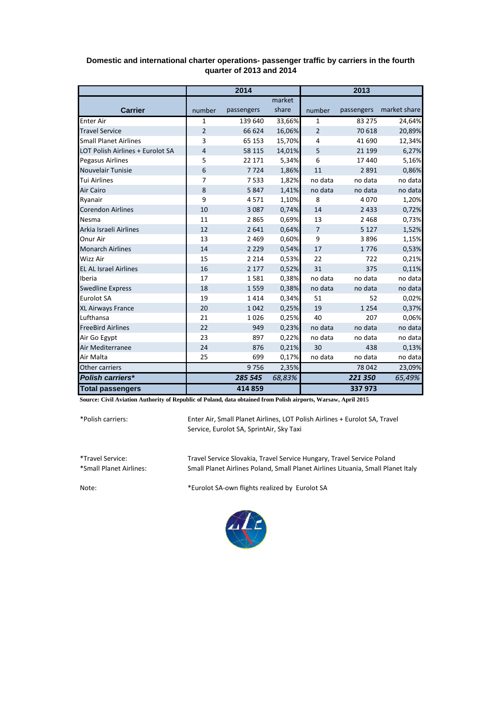|                                  | 2014           |            |        | 2013           |            |              |
|----------------------------------|----------------|------------|--------|----------------|------------|--------------|
|                                  |                |            | market |                |            |              |
| <b>Carrier</b>                   | number         | passengers | share  | number         | passengers | market share |
| <b>Enter Air</b>                 | $\mathbf{1}$   | 139 640    | 33,66% | $\mathbf{1}$   | 83 275     | 24,64%       |
| <b>Travel Service</b>            | 2              | 66 624     | 16,06% | $\overline{2}$ | 70 618     | 20,89%       |
| <b>Small Planet Airlines</b>     | 3              | 65 153     | 15,70% | 4              | 41 690     | 12,34%       |
| LOT Polish Airlines + Eurolot SA | $\overline{4}$ | 58 115     | 14,01% | 5              | 21 199     | 6,27%        |
| <b>Pegasus Airlines</b>          | 5              | 22 17 1    | 5,34%  | 6              | 17 440     | 5,16%        |
| Nouvelair Tunisie                | 6              | 7724       | 1,86%  | 11             | 2891       | 0,86%        |
| <b>Tui Airlines</b>              | $\overline{7}$ | 7533       | 1,82%  | no data        | no data    | no data      |
| Air Cairo                        | 8              | 5847       | 1,41%  | no data        | no data    | no data      |
| Ryanair                          | 9              | 4571       | 1,10%  | 8              | 4070       | 1,20%        |
| <b>Corendon Airlines</b>         | 10             | 3087       | 0,74%  | 14             | 2 4 3 3    | 0,72%        |
| Nesma                            | 11             | 2865       | 0,69%  | 13             | 2 4 6 8    | 0,73%        |
| Arkia Israeli Airlines           | 12             | 2641       | 0,64%  | $\overline{7}$ | 5 1 2 7    | 1,52%        |
| Onur Air                         | 13             | 2 4 6 9    | 0,60%  | 9              | 3896       | 1,15%        |
| <b>Monarch Airlines</b>          | 14             | 2 2 2 9    | 0,54%  | 17             | 1776       | 0,53%        |
| <b>Wizz Air</b>                  | 15             | 2 2 1 4    | 0,53%  | 22             | 722        | 0,21%        |
| <b>EL AL Israel Airlines</b>     | 16             | 2 1 7 7    | 0,52%  | 31             | 375        | 0,11%        |
| Iberia                           | 17             | 1581       | 0,38%  | no data        | no data    | no data      |
| <b>Swedline Express</b>          | 18             | 1559       | 0,38%  | no data        | no data    | no data      |
| <b>Eurolot SA</b>                | 19             | 1414       | 0,34%  | 51             | 52         | 0,02%        |
| <b>XL Airways France</b>         | 20             | 1042       | 0,25%  | 19             | 1 2 5 4    | 0,37%        |
| Lufthansa                        | 21             | 1026       | 0,25%  | 40             | 207        | 0,06%        |
| <b>FreeBird Airlines</b>         | 22             | 949        | 0,23%  | no data        | no data    | no data      |
| Air Go Egypt                     | 23             | 897        | 0,22%  | no data        | no data    | no data      |
| Air Mediterranee                 | 24             | 876        | 0,21%  | 30             | 438        | 0,13%        |
| Air Malta                        | 25             | 699        | 0,17%  | no data        | no data    | no data      |
| Other carriers                   |                | 9756       | 2,35%  |                | 78 042     | 23,09%       |
| Polish carriers*                 |                | 285 545    | 68,83% |                | 221 350    | 65,49%       |
| <b>Total passengers</b>          |                | 414 859    |        |                | 337 973    |              |

## **Domestic and international charter operations- passenger traffic by carriers in the fourth quarter of 2013 and 2014**

**Source: Civil Aviation Authority of Republic of Poland, data obtained from Polish airports, Warsaw, April 2015**

\*Polish carriers:

Enter Air, Small Planet Airlines, LOT Polish Airlines + Eurolot SA, Travel Service, Eurolot SA, SprintAir, Sky Taxi

\*Travel Service: Travel Service Slovakia, Travel Service Hungary, Travel Service Poland Small Planet Airlines Poland, Small Planet Airlines Lituania, Small Planet Italy

Note: \*Eurolot SA-own flights realized by Eurolot SA